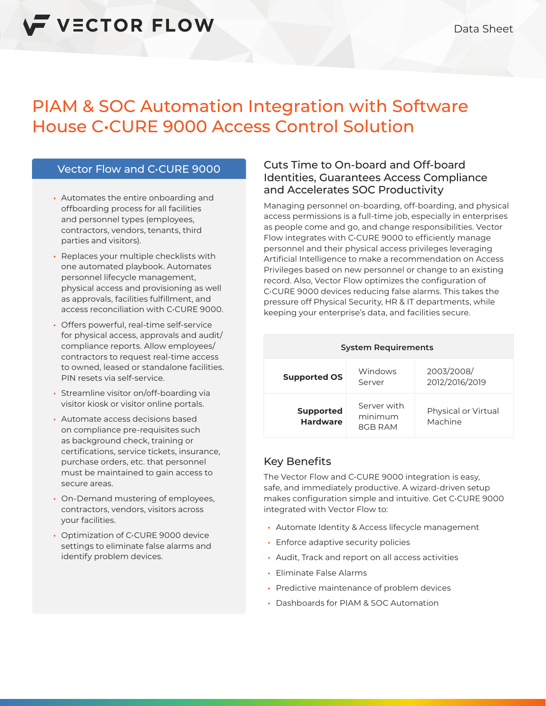# PIAM & SOC Automation Integration with Software House C•CURE 9000 Access Control Solution

### Vector Flow and C•CURE 9000

- **•** Automates the entire onboarding and offboarding process for all facilities and personnel types (employees, contractors, vendors, tenants, third parties and visitors).
- **•** Replaces your multiple checklists with one automated playbook. Automates personnel lifecycle management, physical access and provisioning as well as approvals, facilities fulfillment, and access reconciliation with C•CURE 9000.
- **•** Offers powerful, real-time self-service for physical access, approvals and audit/ compliance reports. Allow employees/ contractors to request real-time access to owned, leased or standalone facilities. PIN resets via self-service.
- **•** Streamline visitor on/off-boarding via visitor kiosk or visitor online portals.
- **•** Automate access decisions based on compliance pre-requisites such as background check, training or certifications, service tickets, insurance, purchase orders, etc. that personnel must be maintained to gain access to secure areas.
- **•** On-Demand mustering of employees, contractors, vendors, visitors across your facilities.
- **•** Optimization of C•CURE 9000 device settings to eliminate false alarms and identify problem devices.

#### Cuts Time to On-board and Off-board Identities, Guarantees Access Compliance and Accelerates SOC Productivity

Managing personnel on-boarding, off-boarding, and physical access permissions is a full-time job, especially in enterprises as people come and go, and change responsibilities. Vector Flow integrates with C•CURE 9000 to efficiently manage personnel and their physical access privileges leveraging Artificial Intelligence to make a recommendation on Access Privileges based on new personnel or change to an existing record. Also, Vector Flow optimizes the configuration of C•CURE 9000 devices reducing false alarms. This takes the pressure off Physical Security, HR & IT departments, while keeping your enterprise's data, and facilities secure.

| <b>System Requirements</b>          |                                   |                                |
|-------------------------------------|-----------------------------------|--------------------------------|
| <b>Supported OS</b>                 | Windows<br>Server                 | 2003/2008/<br>2012/2016/2019   |
| <b>Supported</b><br><b>Hardware</b> | Server with<br>minimum<br>8GB RAM | Physical or Virtual<br>Machine |

#### Key Benefits

The Vector Flow and C•CURE 9000 integration is easy, safe, and immediately productive. A wizard-driven setup makes configuration simple and intuitive. Get C•CURE 9000 integrated with Vector Flow to:

- **•** Automate Identity & Access lifecycle management
- **•** Enforce adaptive security policies
- **•** Audit, Track and report on all access activities
- **•** Eliminate False Alarms
- **•** Predictive maintenance of problem devices
- **•** Dashboards for PIAM & SOC Automation